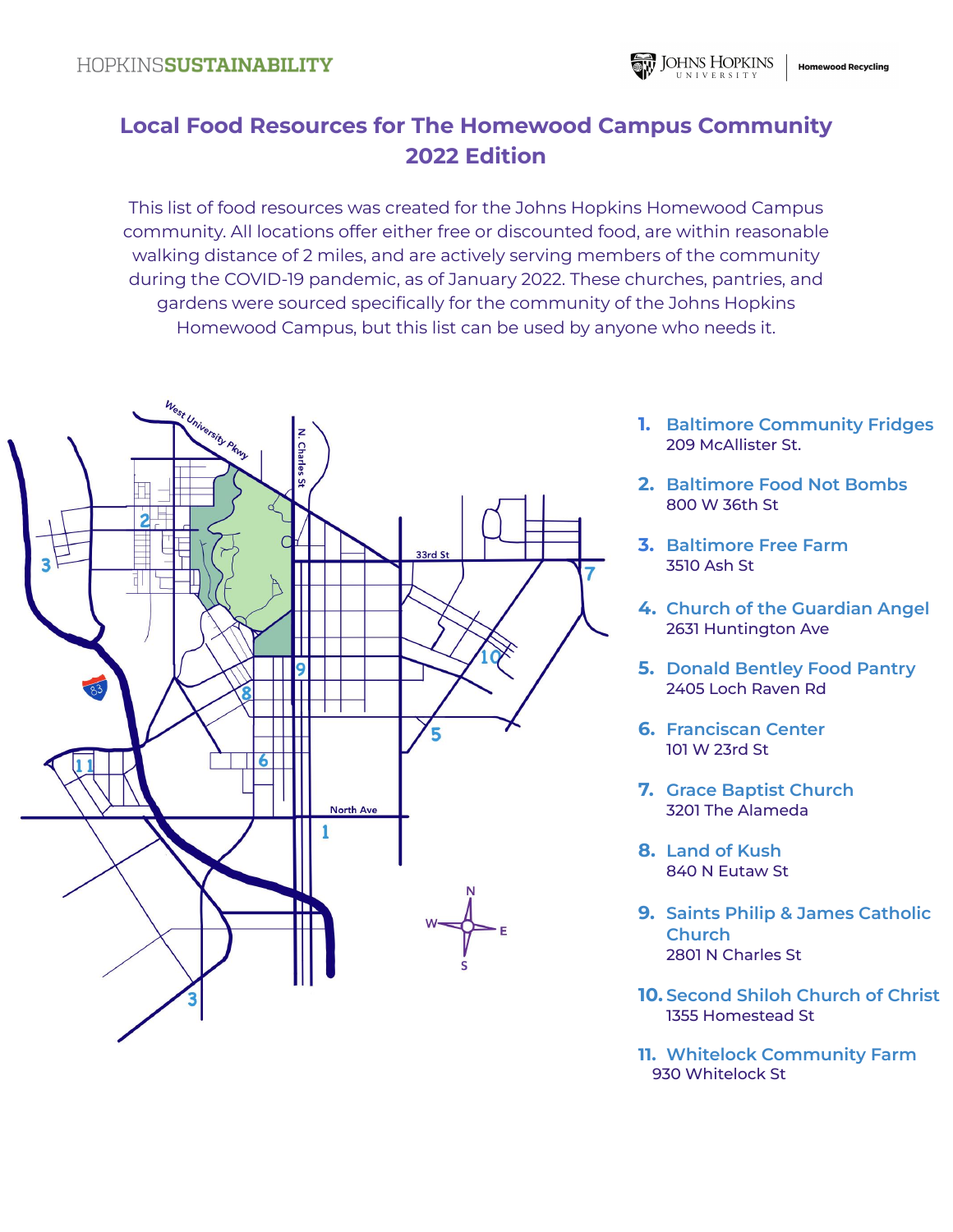# **Local Food Resources for The Homewood Campus Community 2022 Edition**

This list of food resources was created for the Johns Hopkins Homewood Campus community. All locations offer either free or discounted food, are within reasonable walking distance of 2 miles, and are actively serving members of the community during the COVID-19 pandemic, as of January 2022. These churches, pantries, and gardens were sourced specifically for the community of the Johns Hopkins Homewood Campus, but this list can be used by anyone who needs it.



- **1. Baltimore Community Fridges** 209 McAllister St.
- **2. Baltimore Food Not Bombs** 800 W 36th St
- **3. Baltimore Free Farm** 3510 Ash St
- **4. Church of the Guardian Angel** 2631 Huntington Ave
- **5. Donald Bentley Food Pantry** 2405 Loch Raven Rd
- **6. Franciscan Center** 101 W 23rd St
- **7. Grace Baptist Church** 3201 The Alameda
- **8. Land of Kush** 840 N Eutaw St
- **9. Saints Philip & James Catholic Church** 2801 N Charles St
- **10. Second Shiloh Church of Christ** 1355 Homestead St
- **11. Whitelock Community Farm** 930 Whitelock St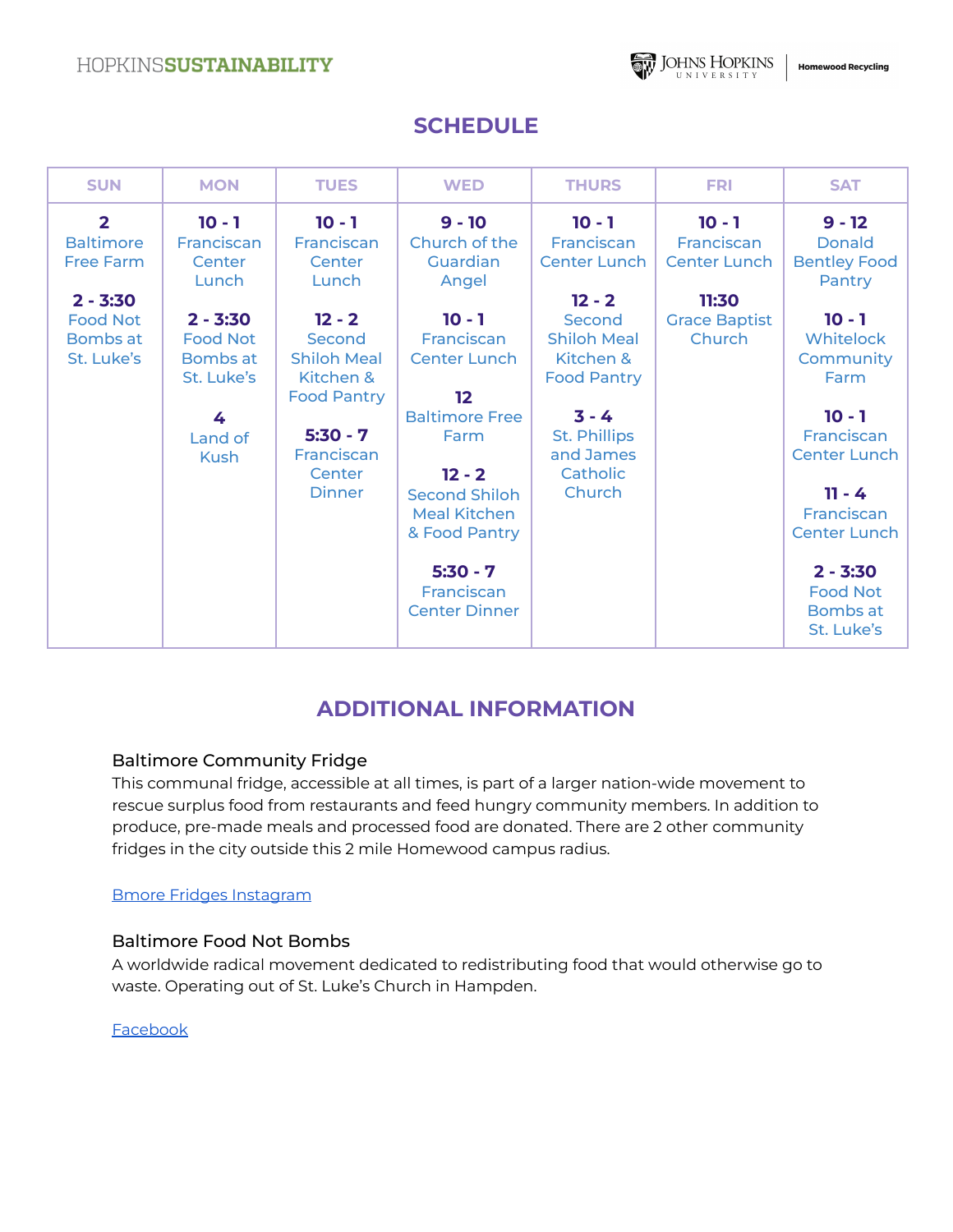

## **SCHEDULE**

| <b>SUN</b>                                              | <b>MON</b>                                              | <b>TUES</b>                                                               | <b>WED</b>                                                                                                      | <b>THURS</b>                                                                | <b>FRI</b>                                    | <b>SAT</b>                                                                                     |
|---------------------------------------------------------|---------------------------------------------------------|---------------------------------------------------------------------------|-----------------------------------------------------------------------------------------------------------------|-----------------------------------------------------------------------------|-----------------------------------------------|------------------------------------------------------------------------------------------------|
| $\overline{2}$<br><b>Baltimore</b><br><b>Free Farm</b>  | $10 - 1$<br>Franciscan<br>Center<br>Lunch               | $10 - 1$<br>Franciscan<br>Center<br>Lunch                                 | $9 - 10$<br>Church of the<br>Guardian<br>Angel                                                                  | $10 - 1$<br>Franciscan<br><b>Center Lunch</b>                               | $10 - 1$<br>Franciscan<br><b>Center Lunch</b> | $9 - 12$<br><b>Donald</b><br><b>Bentley Food</b><br>Pantry                                     |
| $2 - 3:30$<br><b>Food Not</b><br>Bombs at<br>St. Luke's | $2 - 3:30$<br><b>Food Not</b><br>Bombs at<br>St. Luke's | $12 - 2$<br>Second<br><b>Shiloh Meal</b><br>Kitchen &                     | $10 - 1$<br>Franciscan<br><b>Center Lunch</b>                                                                   | $12 - 2$<br>Second<br><b>Shiloh Meal</b><br>Kitchen &<br><b>Food Pantry</b> | 11:30<br><b>Grace Baptist</b><br>Church       | $10 - 1$<br>Whitelock<br>Community<br>Farm                                                     |
|                                                         | 4<br>Land of<br><b>Kush</b>                             | <b>Food Pantry</b><br>$5:30 - 7$<br>Franciscan<br>Center<br><b>Dinner</b> | 12<br><b>Baltimore Free</b><br>Farm<br>$12 - 2$<br><b>Second Shiloh</b><br><b>Meal Kitchen</b><br>& Food Pantry | $3 - 4$<br><b>St. Phillips</b><br>and James<br>Catholic<br>Church           |                                               | $10 - 1$<br>Franciscan<br><b>Center Lunch</b><br>$11 - 4$<br>Franciscan<br><b>Center Lunch</b> |
|                                                         |                                                         |                                                                           | $5:30 - 7$<br>Franciscan<br><b>Center Dinner</b>                                                                |                                                                             |                                               | $2 - 3:30$<br><b>Food Not</b><br>Bombs at<br>St. Luke's                                        |

## **ADDITIONAL INFORMATION**

### Baltimore Community Fridge

This communal fridge, accessible at all times, is part of a larger nation-wide movement to rescue surplus food from restaurants and feed hungry community members. In addition to produce, pre-made meals and processed food are donated. There are 2 other community fridges in the city outside this 2 mile Homewood campus radius.

#### Bmore Fridges [Instagram](https://www.instagram.com/bmorecommunityfridge/?hl=en)

### Baltimore Food Not Bombs

A worldwide radical movement dedicated to redistributing food that would otherwise go to waste. Operating out of St. Luke's Church in Hampden.

#### [Facebook](https://www.facebook.com/BmoreFNB)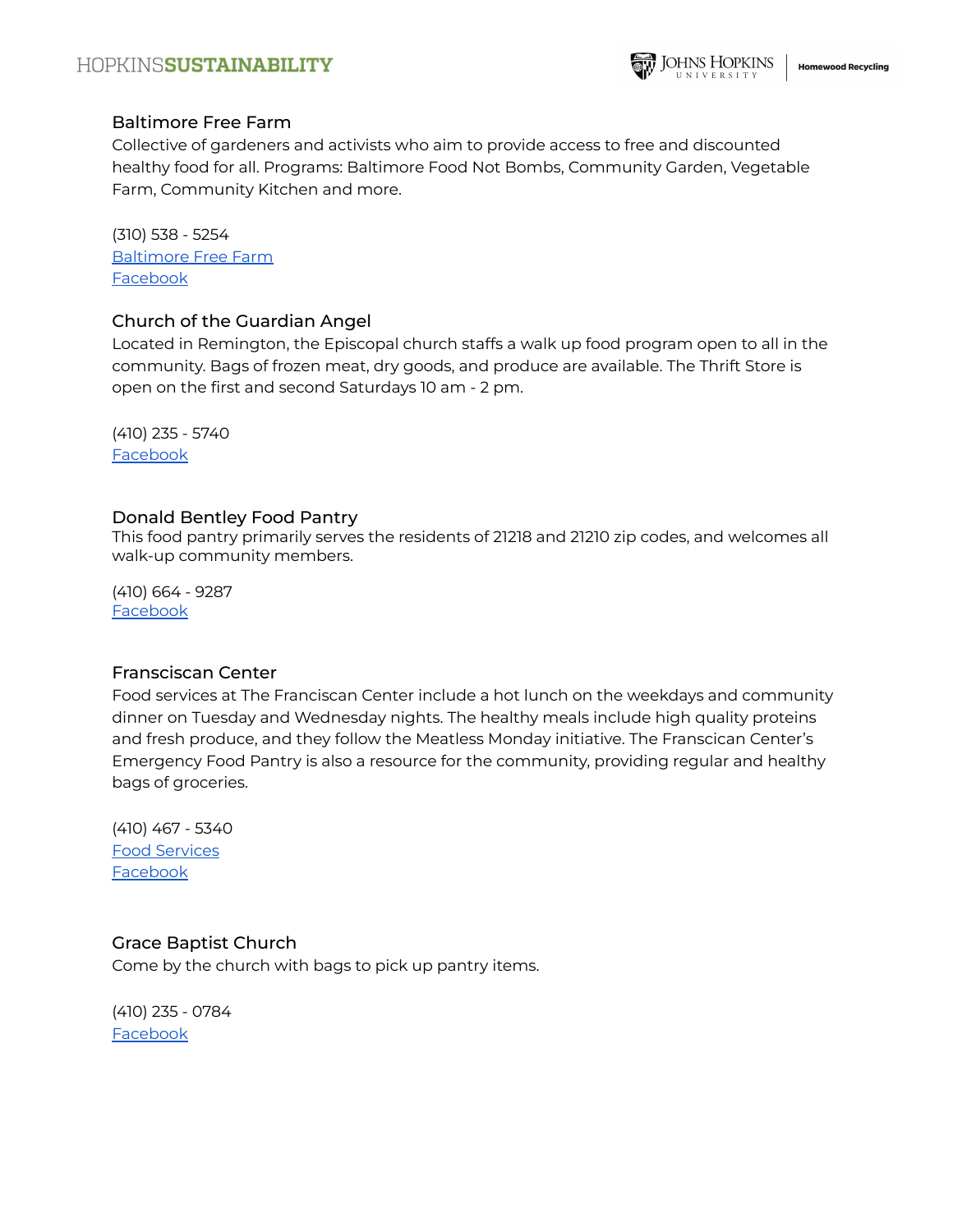#### Baltimore Free Farm

Collective of gardeners and activists who aim to provide access to free and discounted healthy food for all. Programs: Baltimore Food Not Bombs, Community Garden, Vegetable Farm, Community Kitchen and more.

(310) 538 - 5254 [Baltimore](https://www.baltimorefreefarm.org/) Free Farm [Facebook](https://www.facebook.com/baltimorefreefarm)

#### Church of the Guardian Angel

Located in Remington, the Episcopal church staffs a walk up food program open to all in the community. Bags of frozen meat, dry goods, and produce are available. The Thrift Store is open on the first and second Saturdays 10 am - 2 pm.

(410) 235 - 5740 [Facebook](https://www.facebook.com/GuardianAngelRemington/)

#### Donald Bentley Food Pantry

This food pantry primarily serves the residents of 21218 and 21210 zip codes, and welcomes all walk-up community members.

(410) 664 - 9287 [Facebook](https://www.facebook.com/pages/category/Nonprofit-Organization/The-Donald-Bentley-Food-Pantry-Inc-399912110766390/)

#### Fransciscan Center

Food services at The Franciscan Center include a hot lunch on the weekdays and community dinner on Tuesday and Wednesday nights. The healthy meals include high quality proteins and fresh produce, and they follow the Meatless Monday initiative. The Franscican Center's Emergency Food Pantry is also a resource for the community, providing regular and healthy bags of groceries.

(410) 467 - 5340 Food [Services](https://fcbmore.org/our-programs/overview/food-services/) **[Facebook](https://www.facebook.com/fcbmore)** 

#### Grace Baptist Church

Come by the church with bags to pick up pantry items.

(410) 235 - 0784 [Facebook](https://www.facebook.com/gracebaptistchurchMD)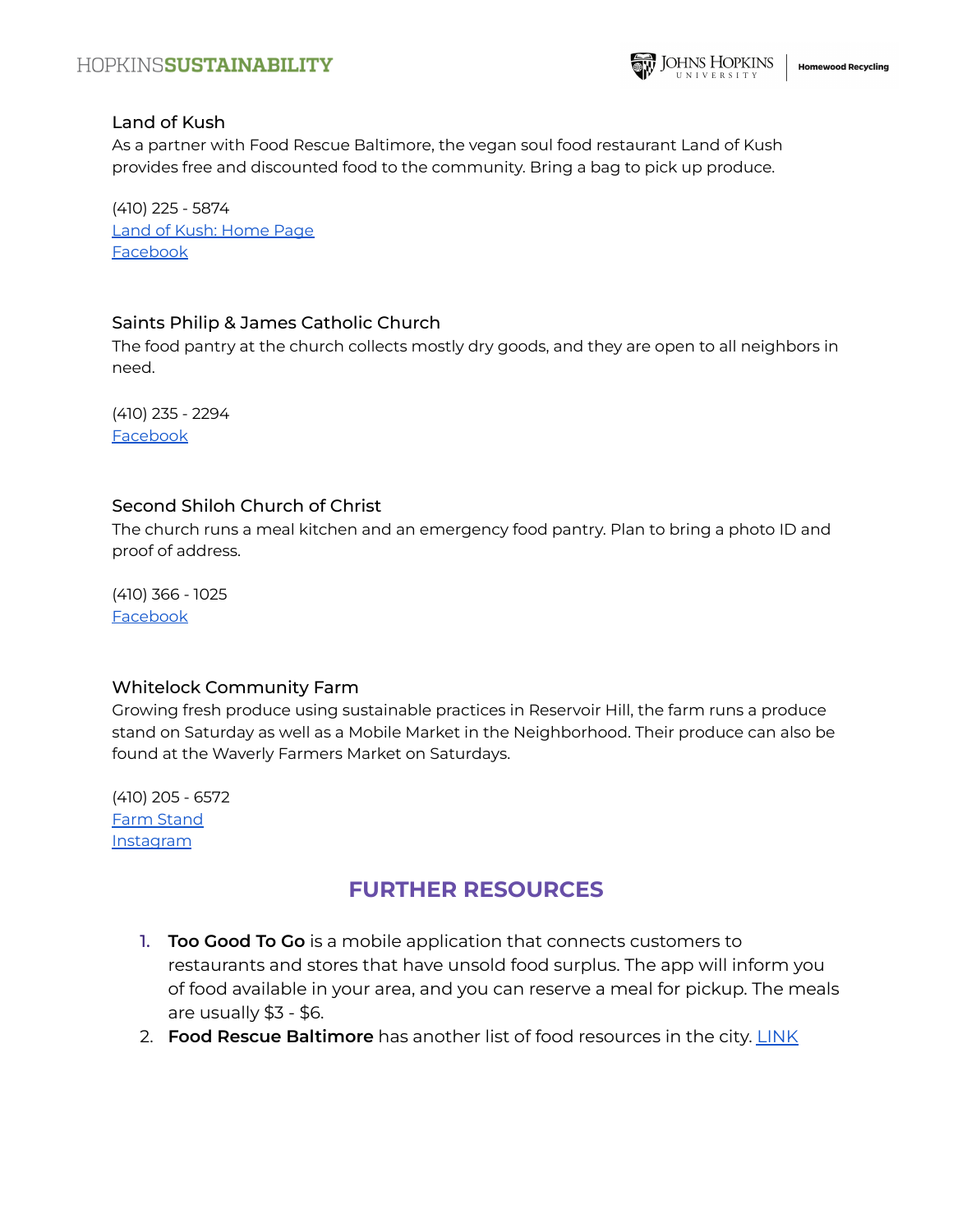

#### Land of Kush

As a partner with Food Rescue Baltimore, the vegan soul food restaurant Land of Kush provides free and discounted food to the community. Bring a bag to pick up produce.

(410) 225 - 5874 Land of Kush: [Home](https://landofkush.com/) Page [Facebook](https://www.facebook.com/TheLandofKush/)

#### Saints Philip & James Catholic Church

The food pantry at the church collects mostly dry goods, and they are open to all neighbors in need.

(410) 235 - 2294 [Facebook](https://www.facebook.com/SSPhilipnJames/)

#### Second Shiloh Church of Christ

The church runs a meal kitchen and an emergency food pantry. Plan to bring a photo ID and proof of address.

(410) 366 - 1025 [Facebook](https://www.facebook.com/pages/Second%20Shiloh%20Church%20of%20Christ/116014431759887/)

#### Whitelock Community Farm

Growing fresh produce using sustainable practices in Reservoir Hill, the farm runs a produce stand on Saturday as well as a Mobile Market in the Neighborhood. Their produce can also be found at the Waverly Farmers Market on Saturdays.

(410) 205 - 6572 Farm [Stand](http://whitelockfarm.org/farmstand) **[Instagram](https://www.instagram.com/whitelockfarm/)** 

## **FURTHER RESOURCES**

- 1. **Too Good To Go** is a mobile application that connects customers to restaurants and stores that have unsold food surplus. The app will inform you of food available in your area, and you can reserve a meal for pickup. The meals are usually \$3 - \$6.
- 2. **Food Rescue Baltimore** has another list of food resources in the city. [LINK](https://www.foodrescuebaltimore.org/)